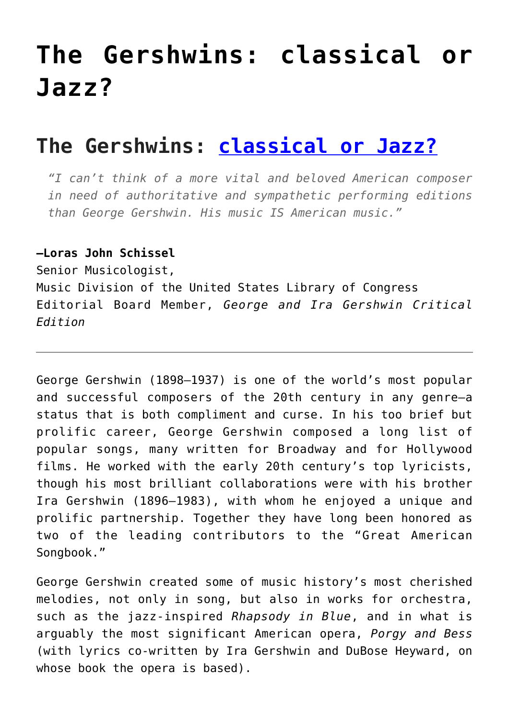# **[The Gershwins: classical or](https://sheetmusiclibrary.website/2022/03/31/gershwins-classical-or-jazz/) [Jazz?](https://sheetmusiclibrary.website/2022/03/31/gershwins-classical-or-jazz/)**

# **The Gershwins: [classical or Jazz?](https://sheetmusiclibrary.website/)**

*"I can't think of a more vital and beloved American composer in need of authoritative and sympathetic performing editions than George Gershwin. His music IS American music."*

#### **—Loras John Schissel**

Senior Musicologist,

Music Division of the United States Library of Congress Editorial Board Member, *George and Ira Gershwin Critical Edition*

George Gershwin (1898–1937) is one of the world's most popular and successful composers of the 20th century in any genre—a status that is both compliment and curse. In his too brief but prolific career, George Gershwin composed a long list of popular songs, many written for Broadway and for Hollywood films. He worked with the early 20th century's top lyricists, though his most brilliant collaborations were with his brother Ira Gershwin (1896–1983), with whom he enjoyed a unique and prolific partnership. Together they have long been honored as two of the leading contributors to the "Great American Songbook."

George Gershwin created some of music history's most cherished melodies, not only in song, but also in works for orchestra, such as the jazz-inspired *Rhapsody in Blue*, and in what is arguably the most significant American opera, *Porgy and Bess* (with lyrics co-written by Ira Gershwin and DuBose Heyward, on whose book the opera is based).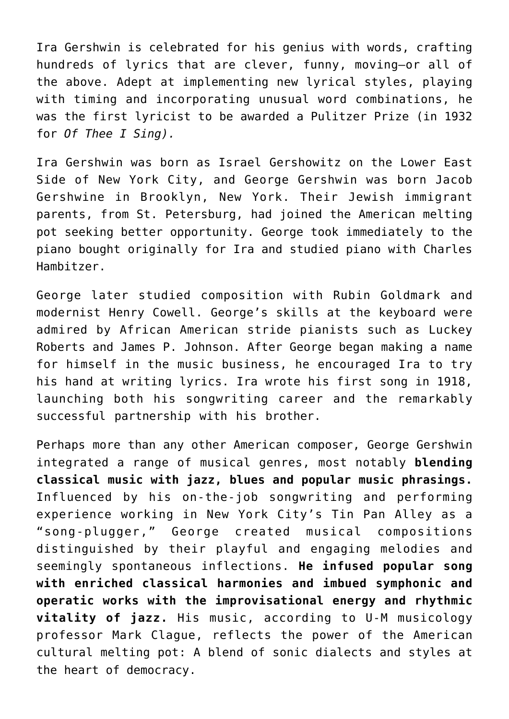Ira Gershwin is celebrated for his genius with words, crafting hundreds of lyrics that are clever, funny, moving—or all of the above. Adept at implementing new lyrical styles, playing with timing and incorporating unusual word combinations, he was the first lyricist to be awarded a Pulitzer Prize (in 1932 for *Of Thee I Sing).*

Ira Gershwin was born as Israel Gershowitz on the Lower East Side of New York City, and George Gershwin was born Jacob Gershwine in Brooklyn, New York. Their Jewish immigrant parents, from St. Petersburg, had joined the American melting pot seeking better opportunity. George took immediately to the piano bought originally for Ira and studied piano with Charles Hambitzer.

George later studied composition with Rubin Goldmark and modernist Henry Cowell. George's skills at the keyboard were admired by African American stride pianists such as Luckey Roberts and James P. Johnson. After George began making a name for himself in the music business, he encouraged Ira to try his hand at writing lyrics. Ira wrote his first song in 1918, launching both his songwriting career and the remarkably successful partnership with his brother.

Perhaps more than any other American composer, George Gershwin integrated a range of musical genres, most notably **blending classical music with jazz, blues and popular music phrasings.** Influenced by his on-the-job songwriting and performing experience working in New York City's Tin Pan Alley as a "song-plugger," George created musical compositions distinguished by their playful and engaging melodies and seemingly spontaneous inflections. **He infused popular song with enriched classical harmonies and imbued symphonic and operatic works with the improvisational energy and rhythmic vitality of jazz.** His music, according to U-M musicology professor Mark Clague, reflects the power of the American cultural melting pot: A blend of sonic dialects and styles at the heart of democracy.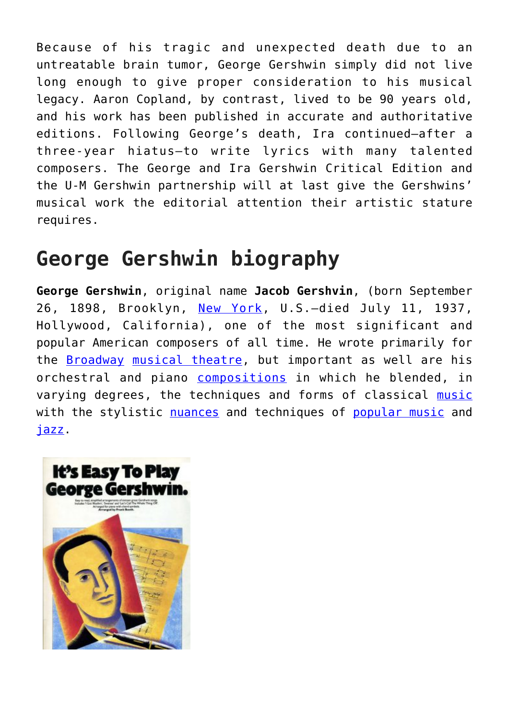Because of his tragic and unexpected death due to an untreatable brain tumor, George Gershwin simply did not live long enough to give proper consideration to his musical legacy. Aaron Copland, by contrast, lived to be 90 years old, and his work has been published in accurate and authoritative editions. Following George's death, Ira continued—after a three-year hiatus—to write lyrics with many talented composers. The George and Ira Gershwin Critical Edition and the U-M Gershwin partnership will at last give the Gershwins' musical work the editorial attention their artistic stature requires.

# **George Gershwin biography**

**George Gershwin**, original name **Jacob Gershvin**, (born September 26, 1898, Brooklyn, [New York](https://www.britannica.com/place/New-York-City), U.S.—died July 11, 1937, Hollywood, California), one of the most significant and popular American composers of all time. He wrote primarily for the [Broadway](https://www.britannica.com/topic/Broadway-street-and-district-New-York-City) [musical theatre,](https://www.britannica.com/art/musical) but important as well are his orchestral and piano [compositions](https://www.merriam-webster.com/dictionary/compositions) in which he blended, in varying degrees, the techniques and forms of classical [music](https://www.britannica.com/art/music) with the stylistic [nuances](https://www.merriam-webster.com/dictionary/nuances) and techniques of [popular music](https://www.britannica.com/art/popular-music) and [jazz](https://www.britannica.com/art/jazz).